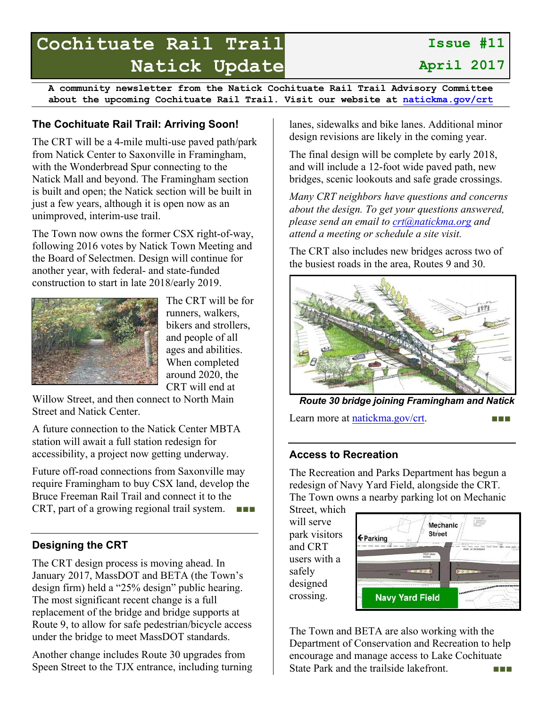# **Cochituate Rail Trail Natick Update**

**Issue #11 April 2017**

**A community newsletter from the Natick Cochituate Rail Trail Advisory Committee about the upcoming Cochituate Rail Trail. Visit our website at natickma.gov/crt**

### **The Cochituate Rail Trail: Arriving Soon!**

The CRT will be a 4-mile multi-use paved path/park from Natick Center to Saxonville in Framingham, with the Wonderbread Spur connecting to the Natick Mall and beyond. The Framingham section is built and open; the Natick section will be built in just a few years, although it is open now as an unimproved, interim-use trail.

The Town now owns the former CSX right-of-way, following 2016 votes by Natick Town Meeting and the Board of Selectmen. Design will continue for another year, with federal- and state-funded construction to start in late 2018/early 2019.



The CRT will be for runners, walkers, bikers and strollers, and people of all ages and abilities. When completed around 2020, the CRT will end at

Willow Street, and then connect to North Main Street and Natick Center.

A future connection to the Natick Center MBTA station will await a full station redesign for accessibility, a project now getting underway.

Future off-road connections from Saxonville may require Framingham to buy CSX land, develop the Bruce Freeman Rail Trail and connect it to the CRT, part of a growing regional trail system. ■■■■

## **Designing the CRT**

The CRT design process is moving ahead. In January 2017, MassDOT and BETA (the Town's design firm) held a "25% design" public hearing. The most significant recent change is a full replacement of the bridge and bridge supports at Route 9, to allow for safe pedestrian/bicycle access under the bridge to meet MassDOT standards.

Another change includes Route 30 upgrades from Speen Street to the TJX entrance, including turning lanes, sidewalks and bike lanes. Additional minor design revisions are likely in the coming year.

The final design will be complete by early 2018, and will include a 12-foot wide paved path, new bridges, scenic lookouts and safe grade crossings.

*Many CRT neighbors have questions and concerns about the design. To get your questions answered, please send an email to crt@natickma.org and attend a meeting or schedule a site visit.* 

The CRT also includes new bridges across two of the busiest roads in the area, Routes 9 and 30.



*Route 30 bridge joining Framingham and Natick*

Learn more at natickma.gov/crt. ■■■

#### **Access to Recreation**

The Recreation and Parks Department has begun a redesign of Navy Yard Field, alongside the CRT. The Town owns a nearby parking lot on Mechanic

Street, which will serve park visitors and CRT users with a safely designed crossing.



The Town and BETA are also working with the Department of Conservation and Recreation to help encourage and manage access to Lake Cochituate State Park and the trailside lakefront.